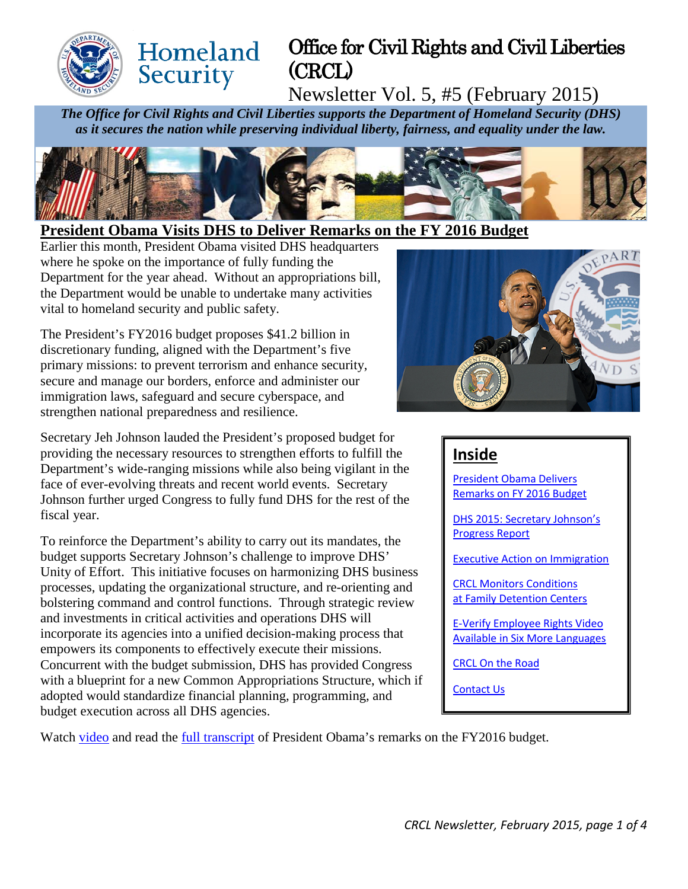

# Office for Civil Rights and Civil Liberties (CRCL)

Newsletter Vol. 5, #5 (February 2015)

*The Office for Civil Rights and Civil Liberties supports the Department of Homeland Security (DHS) as it secures the nation while preserving individual liberty, fairness, and equality under the law.*



## <span id="page-0-0"></span>**President Obama Visits DHS to Deliver Remarks on the FY 2016 Budget**

Earlier this month, President Obama visited DHS headquarters where he spoke on the importance of fully funding the Department for the year ahead. Without an appropriations bill, the Department would be unable to undertake many activities vital to homeland security and public safety.

Homeland

Security

The President's FY2016 budget proposes \$41.2 billion in discretionary funding, aligned with the Department's five primary missions: to prevent terrorism and enhance security, secure and manage our borders, enforce and administer our immigration laws, safeguard and secure cyberspace, and strengthen national preparedness and resilience.

Secretary Jeh Johnson lauded the President's proposed budget for providing the necessary resources to strengthen efforts to fulfill the Department's wide-ranging missions while also being vigilant in the face of ever-evolving threats and recent world events. Secretary Johnson further urged Congress to fully fund DHS for the rest of the fiscal year.

To reinforce the Department's ability to carry out its mandates, the budget supports Secretary Johnson's challenge to improve DHS' Unity of Effort. This initiative focuses on harmonizing DHS business processes, updating the organizational structure, and re-orienting and bolstering command and control functions. Through strategic review and investments in critical activities and operations DHS will incorporate its agencies into a unified decision-making process that empowers its components to effectively execute their missions. Concurrent with the budget submission, DHS has provided Congress with a blueprint for a new Common Appropriations Structure, which if adopted would standardize financial planning, programming, and budget execution across all DHS agencies.



# **Inside**

[President Obama Delivers](#page-0-0)  [Remarks on FY 2016 Budget](#page-0-0) 

[DHS 2015: Secretary Johnson's](#page-1-0)  [Progress Report](#page-1-0)

[Executive Action on Immigration](#page-1-1)

[CRCL Monitors Conditions](#page-1-2)  [at Family Detention Centers](#page-1-2)

[E-Verify Employee Rights Video](#page-2-0)  [Available in Six More Languages](#page-2-0)

[CRCL On the Road](#page-2-1)

[Contact Us](#page-3-0)

Watch [video](http://www.whitehouse.gov/photos-and-video/video/2015/02/02/president-obama-speaks-funding-department-homeland-security) and read the [full transcript](http://www.whitehouse.gov/the-press-office/2015/02/02/remarks-president-fy2016-budget) of President Obama's remarks on the FY2016 budget.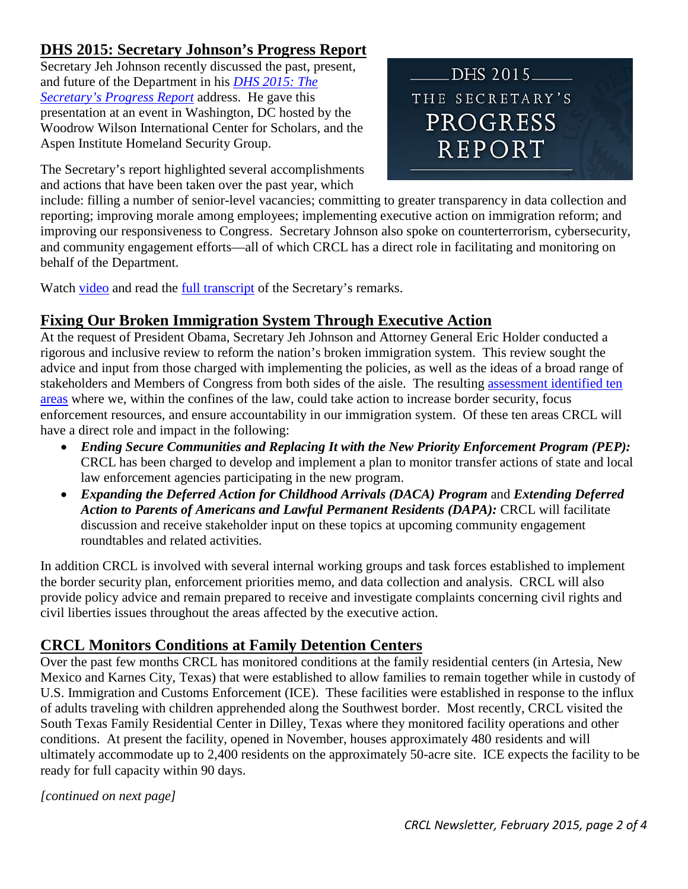# <span id="page-1-0"></span>**DHS 2015: Secretary Johnson's Progress Report**

Secretary Jeh Johnson recently discussed the past, present, and future of the Department in his *[DHS 2015: The](http://www.dhs.gov/DHSin2015?utm_source=hp_feature&utm_medium=web&utm_campaign=dhs_hp)  [Secretary's Progress Report](http://www.dhs.gov/DHSin2015?utm_source=hp_feature&utm_medium=web&utm_campaign=dhs_hp)* address. He gave this presentation at an event in Washington, DC hosted by the Woodrow Wilson International Center for Scholars, and the Aspen Institute Homeland Security Group.

DHS 2015 THE SECRETARY'S PROGRESS **REPORT** 

The Secretary's report highlighted several accomplishments and actions that have been taken over the past year, which

include: filling a number of senior-level vacancies; committing to greater transparency in data collection and reporting; improving morale among employees; implementing executive action on immigration reform; and improving our responsiveness to Congress. Secretary Johnson also spoke on counterterrorism, cybersecurity, and community engagement efforts—all of which CRCL has a direct role in facilitating and monitoring on behalf of the Department.

Watch [video](http://www.dhs.gov/DHSin2015?utm_source=hp_feature&utm_medium=web&utm_campaign=dhs_hp) and read the [full transcript](http://www.dhs.gov/news/2015/01/29/remarks-secretary-johnson-dhs-2015-secretarys-progress-report) of the Secretary's remarks.

# <span id="page-1-1"></span>**Fixing Our Broken Immigration System Through Executive Action**

At the request of President Obama, Secretary Jeh Johnson and Attorney General Eric Holder conducted a rigorous and inclusive review to reform the nation's broken immigration system. This review sought the advice and input from those charged with implementing the policies, as well as the ideas of a broad range of stakeholders and Members of Congress from both sides of the aisle. The resulting [assessment identified ten](http://www.dhs.gov/immigration-action)  [areas](http://www.dhs.gov/immigration-action) where we, within the confines of the law, could take action to increase border security, focus enforcement resources, and ensure accountability in our immigration system. Of these ten areas CRCL will have a direct role and impact in the following:

- *Ending Secure Communities and Replacing It with the New Priority Enforcement Program (PEP):* CRCL has been charged to develop and implement a plan to monitor transfer actions of state and local law enforcement agencies participating in the new program.
- *Expanding the Deferred Action for Childhood Arrivals (DACA) Program* and *Extending Deferred Action to Parents of Americans and Lawful Permanent Residents (DAPA):* CRCL will facilitate discussion and receive stakeholder input on these topics at upcoming community engagement roundtables and related activities.

In addition CRCL is involved with several internal working groups and task forces established to implement the border security plan, enforcement priorities memo, and data collection and analysis. CRCL will also provide policy advice and remain prepared to receive and investigate complaints concerning civil rights and civil liberties issues throughout the areas affected by the executive action.

# <span id="page-1-2"></span>**CRCL Monitors Conditions at Family Detention Centers**

Over the past few months CRCL has monitored conditions at the family residential centers (in Artesia, New Mexico and Karnes City, Texas) that were established to allow families to remain together while in custody of U.S. Immigration and Customs Enforcement (ICE). These facilities were established in response to the influx of adults traveling with children apprehended along the Southwest border. Most recently, CRCL visited the South Texas Family Residential Center in Dilley, Texas where they monitored facility operations and other conditions. At present the facility, opened in November, houses approximately 480 residents and will ultimately accommodate up to 2,400 residents on the approximately 50-acre site. ICE expects the facility to be ready for full capacity within 90 days.

*[continued on next page]*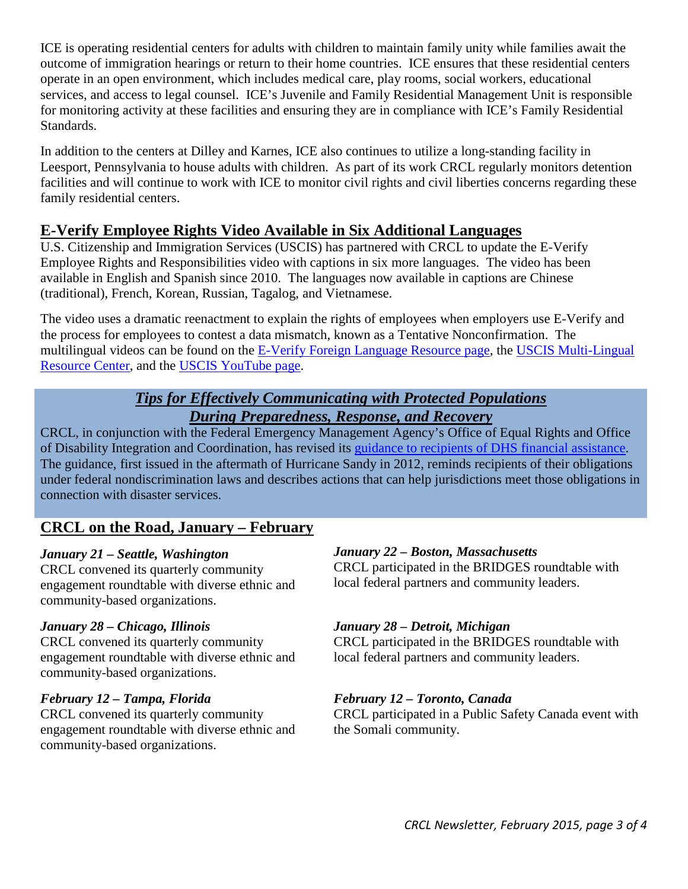ICE is operating residential centers for adults with children to maintain family unity while families await the outcome of immigration hearings or return to their home countries. ICE ensures that these residential centers operate in an open environment, which includes medical care, play rooms, social workers, educational services, and access to legal counsel. ICE's Juvenile and Family Residential Management Unit is responsible for monitoring activity at these facilities and ensuring they are in compliance with ICE's Family Residential Standards.

In addition to the centers at Dilley and Karnes, ICE also continues to utilize a long-standing facility in Leesport, Pennsylvania to house adults with children. As part of its work CRCL regularly monitors detention facilities and will continue to work with ICE to monitor civil rights and civil liberties concerns regarding these family residential centers.

# <span id="page-2-0"></span>**E-Verify Employee Rights Video Available in Six Additional Languages**

U.S. Citizenship and Immigration Services (USCIS) has partnered with CRCL to update the E-Verify Employee Rights and Responsibilities video with captions in six more languages. The video has been available in English and Spanish since 2010. The languages now available in captions are Chinese (traditional), French, Korean, Russian, Tagalog, and Vietnamese.

The video uses a dramatic reenactment to explain the rights of employees when employers use E-Verify and the process for employees to contest a data mismatch, known as a Tentative Nonconfirmation. The multilingual videos can be found on the [E-Verify Foreign Language Resource page,](http://www.uscis.gov/e-verify/publications/foreign-language-resources) the [USCIS Multi-Lingual](http://www.uscis.gov/tools/multilingual-resource-center)  [Resource Center,](http://www.uscis.gov/tools/multilingual-resource-center) and the [USCIS YouTube page.](http://youtu.be/07A-zKaoyi8)

### *Tips for Effectively Communicating with Protected Populations During Preparedness, Response, and Recovery*

CRCL, in conjunction with the Federal Emergency Management Agency's Office of Equal Rights and Office of Disability Integration and Coordination, has revised its [guidance to recipients of DHS financial assistance.](http://www.dhs.gov/sites/default/files/publications/tips-effectively-communicating-protected-populations-02-03-15.pdf) The guidance, first issued in the aftermath of Hurricane Sandy in 2012, reminds recipients of their obligations under federal nondiscrimination laws and describes actions that can help jurisdictions meet those obligations in connection with disaster services.

# <span id="page-2-1"></span>**CRCL on the Road, January – February**

#### *January 21 – Seattle, Washington*

CRCL convened its quarterly community engagement roundtable with diverse ethnic and community-based organizations.

#### *January 28 – Chicago, Illinois*

CRCL convened its quarterly community engagement roundtable with diverse ethnic and community-based organizations.

#### *February 12 – Tampa, Florida*

CRCL convened its quarterly community engagement roundtable with diverse ethnic and community-based organizations.

#### *January 22 – Boston, Massachusetts*

CRCL participated in the BRIDGES roundtable with local federal partners and community leaders.

#### *January 28 – Detroit, Michigan*

CRCL participated in the BRIDGES roundtable with local federal partners and community leaders.

#### *February 12 – Toronto, Canada*

CRCL participated in a Public Safety Canada event with the Somali community.